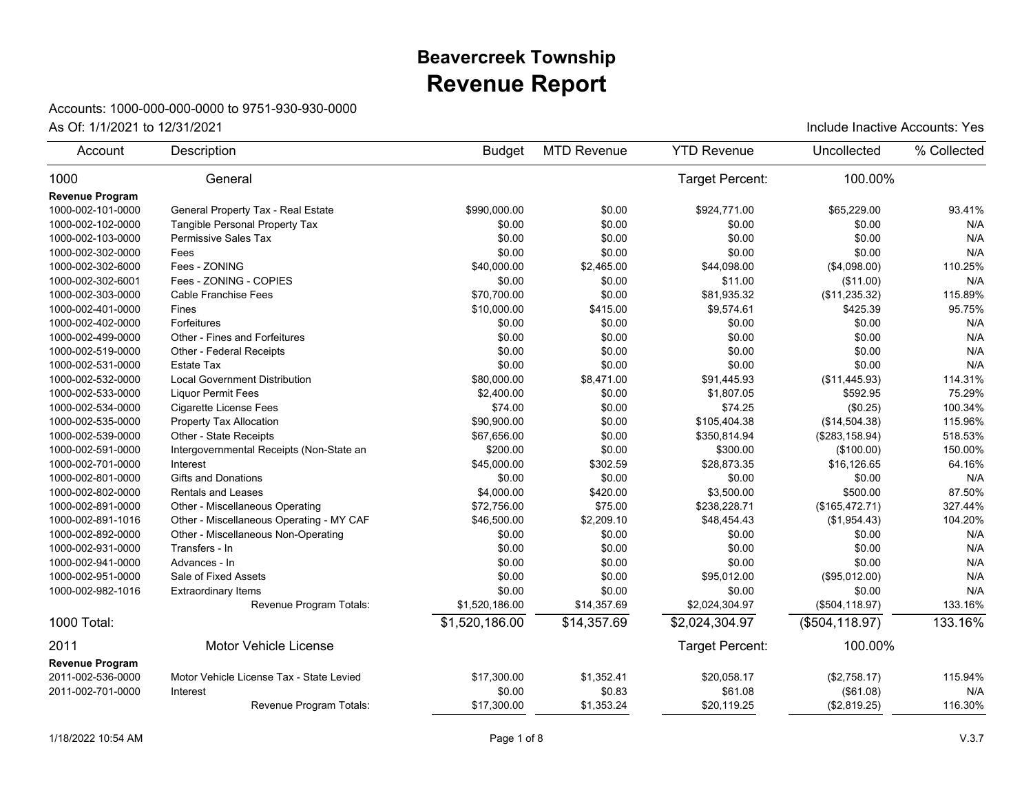## **Revenue Report Beavercreek Township**

## Accounts: 1000-000-000-0000 to 9751-930-930-0000

| Account                | Description                              | <b>Budget</b>  | <b>MTD Revenue</b> | <b>YTD Revenue</b> | Uncollected     | % Collected |
|------------------------|------------------------------------------|----------------|--------------------|--------------------|-----------------|-------------|
| 1000                   | General                                  |                |                    | Target Percent:    | 100.00%         |             |
| <b>Revenue Program</b> |                                          |                |                    |                    |                 |             |
| 1000-002-101-0000      | General Property Tax - Real Estate       | \$990.000.00   | \$0.00             | \$924.771.00       | \$65,229.00     | 93.41%      |
| 1000-002-102-0000      | Tangible Personal Property Tax           | \$0.00         | \$0.00             | \$0.00             | \$0.00          | N/A         |
| 1000-002-103-0000      | Permissive Sales Tax                     | \$0.00         | \$0.00             | \$0.00             | \$0.00          | N/A         |
| 1000-002-302-0000      | Fees                                     | \$0.00         | \$0.00             | \$0.00             | \$0.00          | N/A         |
| 1000-002-302-6000      | Fees - ZONING                            | \$40,000.00    | \$2,465.00         | \$44,098.00        | (\$4,098.00)    | 110.25%     |
| 1000-002-302-6001      | Fees - ZONING - COPIES                   | \$0.00         | \$0.00             | \$11.00            | (\$11.00)       | N/A         |
| 1000-002-303-0000      | <b>Cable Franchise Fees</b>              | \$70,700.00    | \$0.00             | \$81,935.32        | (\$11,235.32)   | 115.89%     |
| 1000-002-401-0000      | Fines                                    | \$10,000.00    | \$415.00           | \$9,574.61         | \$425.39        | 95.75%      |
| 1000-002-402-0000      | Forfeitures                              | \$0.00         | \$0.00             | \$0.00             | \$0.00          | N/A         |
| 1000-002-499-0000      | Other - Fines and Forfeitures            | \$0.00         | \$0.00             | \$0.00             | \$0.00          | N/A         |
| 1000-002-519-0000      | Other - Federal Receipts                 | \$0.00         | \$0.00             | \$0.00             | \$0.00          | N/A         |
| 1000-002-531-0000      | <b>Estate Tax</b>                        | \$0.00         | \$0.00             | \$0.00             | \$0.00          | N/A         |
| 1000-002-532-0000      | <b>Local Government Distribution</b>     | \$80,000.00    | \$8,471.00         | \$91,445.93        | (\$11,445.93)   | 114.31%     |
| 1000-002-533-0000      | <b>Liquor Permit Fees</b>                | \$2,400.00     | \$0.00             | \$1,807.05         | \$592.95        | 75.29%      |
| 1000-002-534-0000      | Cigarette License Fees                   | \$74.00        | \$0.00             | \$74.25            | (\$0.25)        | 100.34%     |
| 1000-002-535-0000      | Property Tax Allocation                  | \$90,900.00    | \$0.00             | \$105,404.38       | (\$14,504.38)   | 115.96%     |
| 1000-002-539-0000      | Other - State Receipts                   | \$67,656.00    | \$0.00             | \$350,814.94       | (\$283, 158.94) | 518.53%     |
| 1000-002-591-0000      | Intergovernmental Receipts (Non-State an | \$200.00       | \$0.00             | \$300.00           | (\$100.00)      | 150.00%     |
| 1000-002-701-0000      | Interest                                 | \$45,000.00    | \$302.59           | \$28,873.35        | \$16,126.65     | 64.16%      |
| 1000-002-801-0000      | <b>Gifts and Donations</b>               | \$0.00         | \$0.00             | \$0.00             | \$0.00          | N/A         |
| 1000-002-802-0000      | <b>Rentals and Leases</b>                | \$4,000.00     | \$420.00           | \$3,500.00         | \$500.00        | 87.50%      |
| 1000-002-891-0000      | Other - Miscellaneous Operating          | \$72,756.00    | \$75.00            | \$238,228.71       | (\$165,472.71)  | 327.44%     |
| 1000-002-891-1016      | Other - Miscellaneous Operating - MY CAF | \$46,500.00    | \$2,209.10         | \$48,454.43        | (\$1,954.43)    | 104.20%     |
| 1000-002-892-0000      | Other - Miscellaneous Non-Operating      | \$0.00         | \$0.00             | \$0.00             | \$0.00          | N/A         |
| 1000-002-931-0000      | Transfers - In                           | \$0.00         | \$0.00             | \$0.00             | \$0.00          | N/A         |
| 1000-002-941-0000      | Advances - In                            | \$0.00         | \$0.00             | \$0.00             | \$0.00          | N/A         |
| 1000-002-951-0000      | Sale of Fixed Assets                     | \$0.00         | \$0.00             | \$95,012.00        | (\$95,012.00)   | N/A         |
| 1000-002-982-1016      | <b>Extraordinary Items</b>               | \$0.00         | \$0.00             | \$0.00             | \$0.00          | N/A         |
|                        | Revenue Program Totals:                  | \$1,520,186.00 | \$14,357.69        | \$2,024,304.97     | (\$504, 118.97) | 133.16%     |
| 1000 Total:            |                                          | \$1,520,186.00 | \$14,357.69        | \$2,024,304.97     | (\$504, 118.97) | 133.16%     |
| 2011                   | Motor Vehicle License                    |                |                    | Target Percent:    | 100.00%         |             |
| <b>Revenue Program</b> |                                          |                |                    |                    |                 |             |
| 2011-002-536-0000      | Motor Vehicle License Tax - State Levied | \$17,300.00    | \$1,352.41         | \$20,058.17        | (\$2,758.17)    | 115.94%     |
| 2011-002-701-0000      | Interest                                 | \$0.00         | \$0.83             | \$61.08            | (\$61.08)       | N/A         |
|                        | Revenue Program Totals:                  | \$17,300.00    | \$1,353.24         | \$20,119.25        | (\$2,819.25)    | 116.30%     |
|                        |                                          |                |                    |                    |                 |             |

As Of: 1/1/2021 to 12/31/2021 **As Of: 1/1/2021** to 12/31/2021 **As Of: 1/1/2021** to 12/31/2021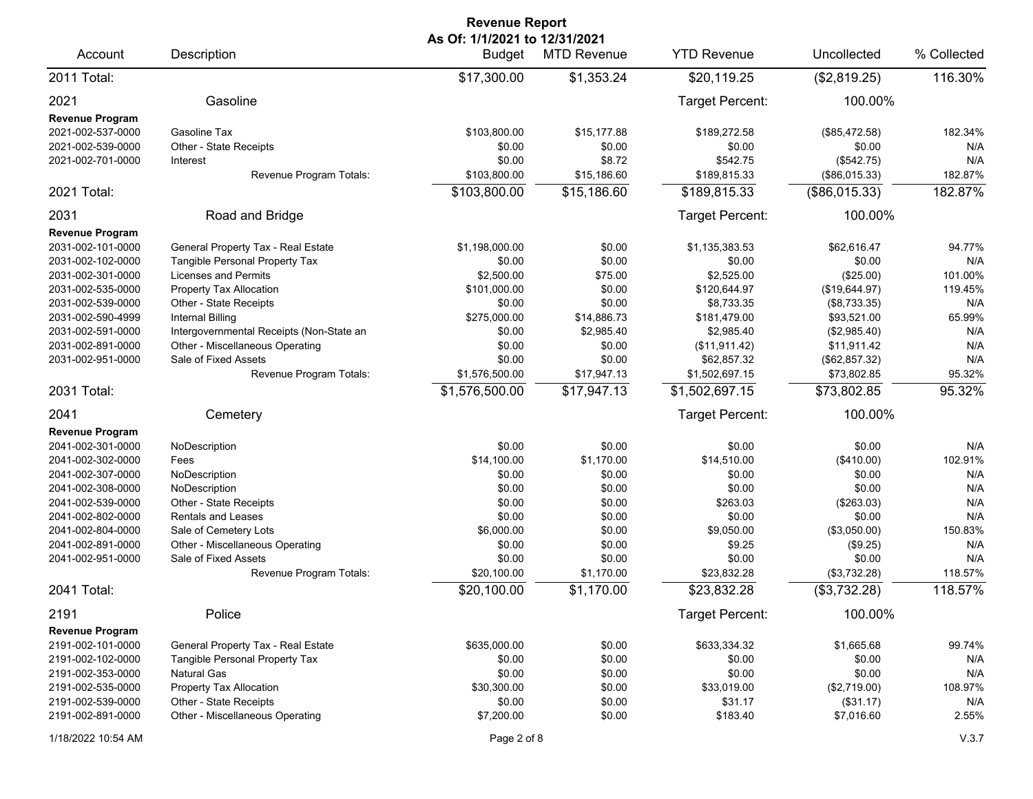| <b>Revenue Report</b>                                                                                                                                                                                                              |                                                                                                                                                                                                                                                                                            |                                                                                                                               |                                                                                                                        |                                                                                                                                    |                                                                                                                                        |                                                                                           |  |
|------------------------------------------------------------------------------------------------------------------------------------------------------------------------------------------------------------------------------------|--------------------------------------------------------------------------------------------------------------------------------------------------------------------------------------------------------------------------------------------------------------------------------------------|-------------------------------------------------------------------------------------------------------------------------------|------------------------------------------------------------------------------------------------------------------------|------------------------------------------------------------------------------------------------------------------------------------|----------------------------------------------------------------------------------------------------------------------------------------|-------------------------------------------------------------------------------------------|--|
| Account                                                                                                                                                                                                                            | Description                                                                                                                                                                                                                                                                                | As Of: 1/1/2021 to 12/31/2021<br><b>Budget</b>                                                                                | <b>MTD Revenue</b>                                                                                                     | <b>YTD Revenue</b>                                                                                                                 | Uncollected                                                                                                                            | % Collected                                                                               |  |
| 2011 Total:                                                                                                                                                                                                                        |                                                                                                                                                                                                                                                                                            | \$17,300.00                                                                                                                   | \$1,353.24                                                                                                             | \$20,119.25                                                                                                                        | (\$2,819.25)                                                                                                                           | 116.30%                                                                                   |  |
| 2021                                                                                                                                                                                                                               | Gasoline                                                                                                                                                                                                                                                                                   |                                                                                                                               |                                                                                                                        | Target Percent:                                                                                                                    | 100.00%                                                                                                                                |                                                                                           |  |
| <b>Revenue Program</b><br>2021-002-537-0000<br>2021-002-539-0000<br>2021-002-701-0000                                                                                                                                              | Gasoline Tax<br>Other - State Receipts<br>Interest<br>Revenue Program Totals:                                                                                                                                                                                                              | \$103,800.00<br>\$0.00<br>\$0.00<br>\$103,800.00                                                                              | \$15,177.88<br>\$0.00<br>\$8.72<br>\$15,186.60                                                                         | \$189,272.58<br>\$0.00<br>\$542.75<br>\$189,815.33                                                                                 | (\$85,472.58)<br>\$0.00<br>(\$542.75)<br>(\$86,015.33)                                                                                 | 182.34%<br>N/A<br>N/A<br>182.87%                                                          |  |
| 2021 Total:                                                                                                                                                                                                                        |                                                                                                                                                                                                                                                                                            | \$103,800.00                                                                                                                  | \$15,186.60                                                                                                            | \$189,815.33                                                                                                                       | (\$86,015.33)                                                                                                                          | 182.87%                                                                                   |  |
| 2031                                                                                                                                                                                                                               | Road and Bridge                                                                                                                                                                                                                                                                            |                                                                                                                               |                                                                                                                        | Target Percent:                                                                                                                    | 100.00%                                                                                                                                |                                                                                           |  |
| <b>Revenue Program</b><br>2031-002-101-0000<br>2031-002-102-0000<br>2031-002-301-0000<br>2031-002-535-0000<br>2031-002-539-0000<br>2031-002-590-4999<br>2031-002-591-0000<br>2031-002-891-0000<br>2031-002-951-0000                | General Property Tax - Real Estate<br>Tangible Personal Property Tax<br><b>Licenses and Permits</b><br>Property Tax Allocation<br>Other - State Receipts<br><b>Internal Billing</b><br>Intergovernmental Receipts (Non-State an<br>Other - Miscellaneous Operating<br>Sale of Fixed Assets | \$1,198,000.00<br>\$0.00<br>\$2,500.00<br>\$101,000.00<br>\$0.00<br>\$275,000.00<br>\$0.00<br>\$0.00<br>\$0.00                | \$0.00<br>\$0.00<br>\$75.00<br>\$0.00<br>\$0.00<br>\$14,886.73<br>\$2,985.40<br>\$0.00<br>\$0.00                       | \$1,135,383.53<br>\$0.00<br>\$2,525.00<br>\$120,644.97<br>\$8.733.35<br>\$181,479.00<br>\$2,985.40<br>(\$11,911.42)<br>\$62,857.32 | \$62,616.47<br>\$0.00<br>(\$25.00)<br>(\$19,644.97)<br>(\$8,733.35)<br>\$93,521.00<br>(\$2,985.40)<br>\$11,911.42<br>(\$62,857.32)     | 94.77%<br>N/A<br>101.00%<br>119.45%<br>N/A<br>65.99%<br>N/A<br>N/A<br>N/A                 |  |
| 2031 Total:                                                                                                                                                                                                                        | Revenue Program Totals:                                                                                                                                                                                                                                                                    | \$1,576,500.00<br>\$1,576,500.00                                                                                              | \$17,947.13<br>\$17,947.13                                                                                             | \$1,502,697.15<br>\$1,502,697.15                                                                                                   | \$73,802.85<br>\$73,802.85                                                                                                             | 95.32%<br>95.32%                                                                          |  |
| 2041                                                                                                                                                                                                                               | Cemetery                                                                                                                                                                                                                                                                                   |                                                                                                                               |                                                                                                                        | Target Percent:                                                                                                                    | 100.00%                                                                                                                                |                                                                                           |  |
| <b>Revenue Program</b><br>2041-002-301-0000<br>2041-002-302-0000<br>2041-002-307-0000<br>2041-002-308-0000<br>2041-002-539-0000<br>2041-002-802-0000<br>2041-002-804-0000<br>2041-002-891-0000<br>2041-002-951-0000<br>2041 Total: | NoDescription<br>Fees<br>NoDescription<br>NoDescription<br>Other - State Receipts<br>Rentals and Leases<br>Sale of Cemetery Lots<br>Other - Miscellaneous Operating<br>Sale of Fixed Assets<br>Revenue Program Totals:                                                                     | \$0.00<br>\$14,100.00<br>\$0.00<br>\$0.00<br>\$0.00<br>\$0.00<br>\$6,000.00<br>\$0.00<br>\$0.00<br>\$20,100.00<br>\$20,100.00 | \$0.00<br>\$1,170.00<br>\$0.00<br>\$0.00<br>\$0.00<br>\$0.00<br>\$0.00<br>\$0.00<br>\$0.00<br>\$1,170.00<br>\$1,170.00 | \$0.00<br>\$14,510.00<br>\$0.00<br>\$0.00<br>\$263.03<br>\$0.00<br>\$9,050.00<br>\$9.25<br>\$0.00<br>\$23,832.28<br>\$23,832.28    | \$0.00<br>(\$410.00)<br>\$0.00<br>\$0.00<br>(\$263.03)<br>\$0.00<br>(\$3,050.00)<br>(\$9.25)<br>\$0.00<br>(\$3,732.28)<br>(\$3,732.28) | N/A<br>102.91%<br>N/A<br>N/A<br>N/A<br>N/A<br>150.83%<br>N/A<br>N/A<br>118.57%<br>118.57% |  |
| 2191                                                                                                                                                                                                                               | Police                                                                                                                                                                                                                                                                                     |                                                                                                                               |                                                                                                                        | Target Percent:                                                                                                                    | 100.00%                                                                                                                                |                                                                                           |  |
| <b>Revenue Program</b><br>2191-002-101-0000<br>2191-002-102-0000<br>2191-002-353-0000<br>2191-002-535-0000<br>2191-002-539-0000<br>2191-002-891-0000                                                                               | General Property Tax - Real Estate<br>Tangible Personal Property Tax<br><b>Natural Gas</b><br>Property Tax Allocation<br>Other - State Receipts<br>Other - Miscellaneous Operating                                                                                                         | \$635,000.00<br>\$0.00<br>\$0.00<br>\$30,300.00<br>\$0.00<br>\$7,200.00                                                       | \$0.00<br>\$0.00<br>\$0.00<br>\$0.00<br>\$0.00<br>\$0.00                                                               | \$633,334.32<br>\$0.00<br>\$0.00<br>\$33,019.00<br>\$31.17<br>\$183.40                                                             | \$1,665.68<br>\$0.00<br>\$0.00<br>(\$2,719.00)<br>(\$31.17)<br>\$7,016.60                                                              | 99.74%<br>N/A<br>N/A<br>108.97%<br>N/A<br>2.55%                                           |  |
| 1/18/2022 10:54 AM                                                                                                                                                                                                                 |                                                                                                                                                                                                                                                                                            | Page 2 of 8                                                                                                                   |                                                                                                                        |                                                                                                                                    |                                                                                                                                        | V.3.7                                                                                     |  |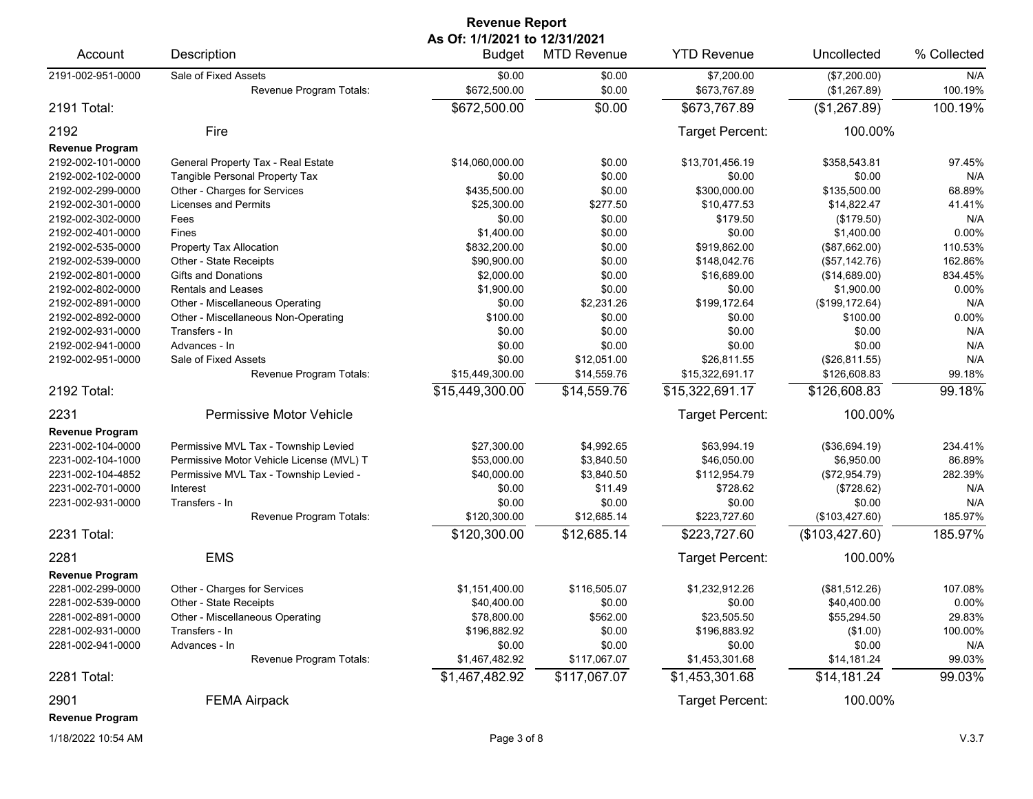| <b>Revenue Report</b>  |                                                 |                                         |                    |                            |                              |                |  |
|------------------------|-------------------------------------------------|-----------------------------------------|--------------------|----------------------------|------------------------------|----------------|--|
| Account                | Description                                     | As Of: 1/1/2021 to 12/31/2021<br>Budget | <b>MTD Revenue</b> | <b>YTD Revenue</b>         | Uncollected                  | % Collected    |  |
| 2191-002-951-0000      | Sale of Fixed Assets<br>Revenue Program Totals: | \$0.00<br>\$672,500.00                  | \$0.00<br>\$0.00   | \$7,200.00<br>\$673,767.89 | (\$7,200.00)<br>(\$1,267.89) | N/A<br>100.19% |  |
| 2191 Total:            |                                                 | \$672,500.00                            | \$0.00             | \$673,767.89               | (\$1,267.89)                 | 100.19%        |  |
| 2192                   | Fire                                            |                                         |                    | Target Percent:            | 100.00%                      |                |  |
| <b>Revenue Program</b> |                                                 |                                         |                    |                            |                              |                |  |
| 2192-002-101-0000      | General Property Tax - Real Estate              | \$14,060,000.00                         | \$0.00             | \$13,701,456.19            | \$358,543.81                 | 97.45%         |  |
| 2192-002-102-0000      | Tangible Personal Property Tax                  | \$0.00                                  | \$0.00             | \$0.00                     | \$0.00                       | N/A            |  |
| 2192-002-299-0000      | Other - Charges for Services                    | \$435,500.00                            | \$0.00             | \$300,000.00               | \$135,500.00                 | 68.89%         |  |
| 2192-002-301-0000      | <b>Licenses and Permits</b>                     | \$25,300.00                             | \$277.50           | \$10,477.53                | \$14,822.47                  | 41.41%         |  |
| 2192-002-302-0000      | Fees                                            | \$0.00                                  | \$0.00             | \$179.50                   | (\$179.50)                   | N/A            |  |
| 2192-002-401-0000      | Fines                                           | \$1,400.00                              | \$0.00             | \$0.00                     | \$1,400.00                   | 0.00%          |  |
| 2192-002-535-0000      | Property Tax Allocation                         | \$832,200.00                            | \$0.00             | \$919,862.00               | (\$87,662.00)                | 110.53%        |  |
| 2192-002-539-0000      | Other - State Receipts                          | \$90,900.00                             | \$0.00             | \$148,042.76               | (\$57,142.76)                | 162.86%        |  |
| 2192-002-801-0000      | Gifts and Donations                             | \$2,000.00                              | \$0.00             | \$16,689.00                | (\$14,689.00)                | 834.45%        |  |
| 2192-002-802-0000      | <b>Rentals and Leases</b>                       | \$1,900.00                              | \$0.00             | \$0.00                     | \$1,900.00                   | 0.00%          |  |
| 2192-002-891-0000      | Other - Miscellaneous Operating                 | \$0.00                                  | \$2,231.26         | \$199,172.64               | (\$199, 172.64)              | N/A            |  |
| 2192-002-892-0000      | Other - Miscellaneous Non-Operating             | \$100.00                                | \$0.00             | \$0.00                     | \$100.00                     | 0.00%          |  |
| 2192-002-931-0000      | Transfers - In                                  | \$0.00                                  | \$0.00             | \$0.00                     | \$0.00                       | N/A            |  |
| 2192-002-941-0000      | Advances - In                                   | \$0.00                                  | \$0.00             | \$0.00                     | \$0.00                       | N/A            |  |
| 2192-002-951-0000      | Sale of Fixed Assets                            | \$0.00                                  | \$12,051.00        | \$26,811.55                | (\$26,811.55)                | N/A            |  |
|                        | Revenue Program Totals:                         | \$15,449,300.00                         | \$14,559.76        | \$15,322,691.17            | \$126,608.83                 | 99.18%         |  |
| 2192 Total:            |                                                 | \$15,449,300.00                         | \$14,559.76        | \$15,322,691.17            | \$126,608.83                 | 99.18%         |  |
| 2231                   | Permissive Motor Vehicle                        |                                         |                    | Target Percent:            | 100.00%                      |                |  |
| <b>Revenue Program</b> |                                                 |                                         |                    |                            |                              |                |  |
| 2231-002-104-0000      | Permissive MVL Tax - Township Levied            | \$27,300.00                             | \$4,992.65         | \$63,994.19                | (\$36,694.19)                | 234.41%        |  |
| 2231-002-104-1000      | Permissive Motor Vehicle License (MVL) T        | \$53,000.00                             | \$3,840.50         | \$46,050.00                | \$6,950.00                   | 86.89%         |  |
| 2231-002-104-4852      | Permissive MVL Tax - Township Levied -          | \$40,000.00                             | \$3,840.50         | \$112,954.79               | (\$72,954.79)                | 282.39%        |  |
| 2231-002-701-0000      | Interest                                        | \$0.00                                  | \$11.49            | \$728.62                   | (\$728.62)                   | N/A            |  |
| 2231-002-931-0000      | Transfers - In                                  | \$0.00                                  | \$0.00             | \$0.00                     | \$0.00                       | N/A            |  |
|                        | Revenue Program Totals:                         | \$120,300.00                            | \$12,685.14        | \$223,727.60               | (\$103,427.60)               | 185.97%        |  |
| 2231 Total:            |                                                 | \$120,300.00                            | \$12,685.14        | \$223,727.60               | (\$103,427.60)               | 185.97%        |  |
| 2281                   | <b>EMS</b>                                      |                                         |                    | Target Percent:            | 100.00%                      |                |  |
| <b>Revenue Program</b> |                                                 |                                         |                    |                            |                              |                |  |
| 2281-002-299-0000      | Other - Charges for Services                    | \$1,151,400.00                          | \$116,505.07       | \$1,232,912.26             | (\$81,512.26)                | 107.08%        |  |
| 2281-002-539-0000      | Other - State Receipts                          | \$40,400.00                             | \$0.00             | \$0.00                     | \$40,400.00                  | $0.00\%$       |  |
| 2281-002-891-0000      | Other - Miscellaneous Operating                 | \$78,800.00                             | \$562.00           | \$23,505.50                | \$55,294.50                  | 29.83%         |  |
| 2281-002-931-0000      | Transfers - In                                  | \$196,882.92                            | \$0.00             | \$196,883.92               | (\$1.00)                     | 100.00%        |  |
| 2281-002-941-0000      | Advances - In                                   | \$0.00                                  | \$0.00             | \$0.00                     | \$0.00                       | N/A            |  |
|                        | Revenue Program Totals:                         | \$1,467,482.92                          | \$117,067.07       | \$1,453,301.68             | \$14,181.24                  | 99.03%         |  |
| 2281 Total:            |                                                 | \$1,467,482.92                          | \$117,067.07       | \$1,453,301.68             | \$14,181.24                  | 99.03%         |  |
| 2901                   | <b>FEMA Airpack</b>                             |                                         |                    | <b>Target Percent:</b>     | 100.00%                      |                |  |
| <b>Revenue Program</b> |                                                 |                                         |                    |                            |                              |                |  |
|                        |                                                 |                                         |                    |                            |                              |                |  |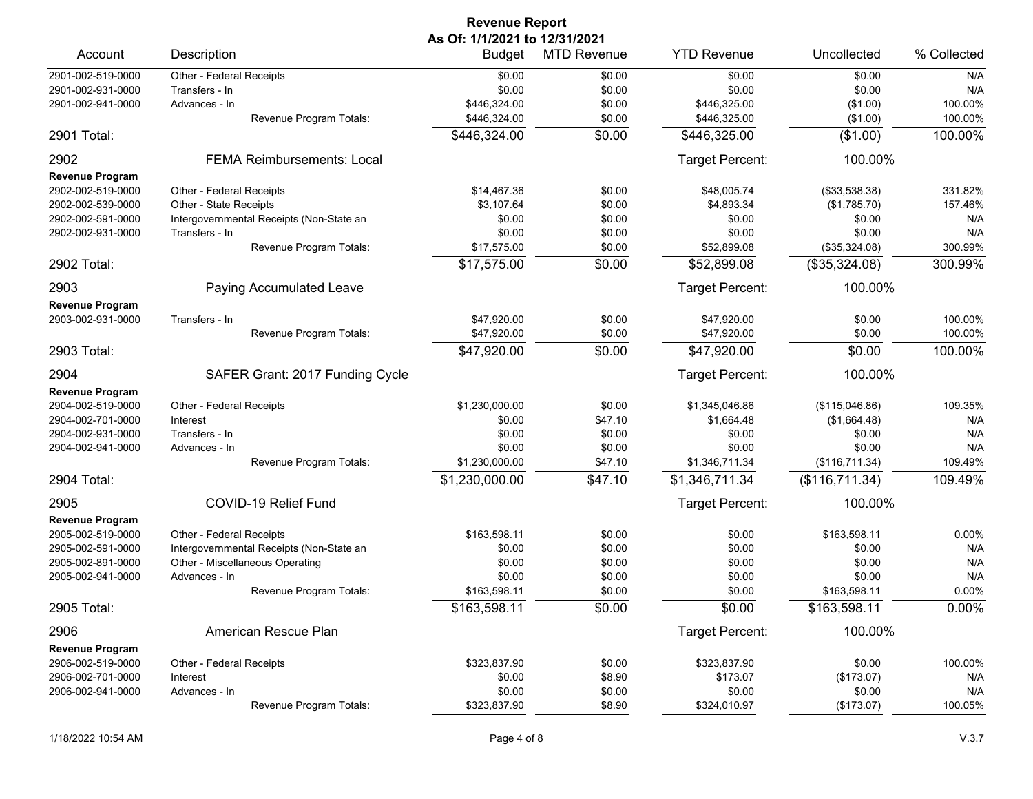| <b>Revenue Report</b>  |                                          |                               |                    |                    |                |             |  |
|------------------------|------------------------------------------|-------------------------------|--------------------|--------------------|----------------|-------------|--|
|                        |                                          | As Of: 1/1/2021 to 12/31/2021 |                    |                    |                |             |  |
| Account                | Description                              | <b>Budget</b>                 | <b>MTD Revenue</b> | <b>YTD Revenue</b> | Uncollected    | % Collected |  |
| 2901-002-519-0000      | Other - Federal Receipts                 | \$0.00                        | \$0.00             | \$0.00             | \$0.00         | N/A         |  |
| 2901-002-931-0000      | Transfers - In                           | \$0.00                        | \$0.00             | \$0.00             | \$0.00         | N/A         |  |
| 2901-002-941-0000      | Advances - In                            | \$446,324.00                  | \$0.00             | \$446,325.00       | (\$1.00)       | 100.00%     |  |
|                        | Revenue Program Totals:                  | \$446,324.00                  | \$0.00             | \$446,325.00       | (\$1.00)       | 100.00%     |  |
| 2901 Total:            |                                          | \$446,324.00                  | \$0.00             | \$446,325.00       | (\$1.00)       | 100.00%     |  |
| 2902                   | <b>FEMA Reimbursements: Local</b>        |                               |                    | Target Percent:    | 100.00%        |             |  |
| <b>Revenue Program</b> |                                          |                               |                    |                    |                |             |  |
| 2902-002-519-0000      | Other - Federal Receipts                 | \$14.467.36                   | \$0.00             | \$48,005.74        | (\$33,538.38)  | 331.82%     |  |
| 2902-002-539-0000      | Other - State Receipts                   | \$3,107.64                    | \$0.00             | \$4,893.34         | (\$1,785.70)   | 157.46%     |  |
| 2902-002-591-0000      | Intergovernmental Receipts (Non-State an | \$0.00                        | \$0.00             | \$0.00             | \$0.00         | N/A         |  |
| 2902-002-931-0000      | Transfers - In                           | \$0.00                        | \$0.00             | \$0.00             | \$0.00         | N/A         |  |
|                        | Revenue Program Totals:                  | \$17,575.00                   | \$0.00             | \$52,899.08        | (\$35,324.08)  | 300.99%     |  |
| 2902 Total:            |                                          | \$17,575.00                   | \$0.00             | \$52,899.08        | (\$35,324.08)  | 300.99%     |  |
| 2903                   | Paying Accumulated Leave                 |                               |                    | Target Percent:    | 100.00%        |             |  |
| <b>Revenue Program</b> |                                          |                               |                    |                    |                |             |  |
| 2903-002-931-0000      | Transfers - In                           | \$47,920.00                   | \$0.00             | \$47,920.00        | \$0.00         | 100.00%     |  |
|                        | Revenue Program Totals:                  | \$47,920.00                   | \$0.00             | \$47,920.00        | \$0.00         | 100.00%     |  |
| 2903 Total:            |                                          | \$47,920.00                   | \$0.00             | \$47,920.00        | \$0.00         | 100.00%     |  |
| 2904                   | SAFER Grant: 2017 Funding Cycle          |                               |                    | Target Percent:    | 100.00%        |             |  |
| <b>Revenue Program</b> |                                          |                               |                    |                    |                |             |  |
| 2904-002-519-0000      | Other - Federal Receipts                 | \$1,230,000.00                | \$0.00             | \$1,345,046.86     | (\$115,046.86) | 109.35%     |  |
| 2904-002-701-0000      | Interest                                 | \$0.00                        | \$47.10            | \$1,664.48         | (\$1,664.48)   | N/A         |  |
| 2904-002-931-0000      | Transfers - In                           | \$0.00                        | \$0.00             | \$0.00             | \$0.00         | N/A         |  |
| 2904-002-941-0000      | Advances - In                            | \$0.00                        | \$0.00             | \$0.00             | \$0.00         | N/A         |  |
|                        | Revenue Program Totals:                  | \$1,230,000.00                | \$47.10            | \$1,346,711.34     | (\$116,711.34) | 109.49%     |  |
| 2904 Total:            |                                          | \$1,230,000.00                | \$47.10            | \$1,346,711.34     | (\$116,711.34) | 109.49%     |  |
| 2905                   | COVID-19 Relief Fund                     |                               |                    | Target Percent:    | 100.00%        |             |  |
| <b>Revenue Program</b> |                                          |                               |                    |                    |                |             |  |
| 2905-002-519-0000      | Other - Federal Receipts                 | \$163,598.11                  | \$0.00             | \$0.00             | \$163.598.11   | 0.00%       |  |
| 2905-002-591-0000      | Intergovernmental Receipts (Non-State an | \$0.00                        | \$0.00             | \$0.00             | \$0.00         | N/A         |  |
| 2905-002-891-0000      | Other - Miscellaneous Operating          | \$0.00                        | \$0.00             | \$0.00             | \$0.00         | N/A         |  |
| 2905-002-941-0000      | Advances - In                            | \$0.00                        | \$0.00             | \$0.00             | \$0.00         | N/A         |  |
|                        | Revenue Program Totals:                  | \$163,598.11                  | \$0.00             | \$0.00             | \$163,598.11   | 0.00%       |  |
| 2905 Total:            |                                          | \$163,598.11                  | \$0.00             | \$0.00             | \$163,598.11   | 0.00%       |  |
| 2906                   | American Rescue Plan                     |                               |                    | Target Percent:    | 100.00%        |             |  |
| <b>Revenue Program</b> |                                          |                               |                    |                    |                |             |  |
| 2906-002-519-0000      | Other - Federal Receipts                 | \$323,837.90                  | \$0.00             | \$323,837.90       | \$0.00         | 100.00%     |  |
| 2906-002-701-0000      | Interest                                 | \$0.00                        | \$8.90             | \$173.07           | (\$173.07)     | N/A         |  |
| 2906-002-941-0000      | Advances - In                            | \$0.00                        | \$0.00             | \$0.00             | \$0.00         | N/A         |  |
|                        | Revenue Program Totals:                  | \$323,837.90                  | \$8.90             | \$324,010.97       | (\$173.07)     | 100.05%     |  |
|                        |                                          |                               |                    |                    |                |             |  |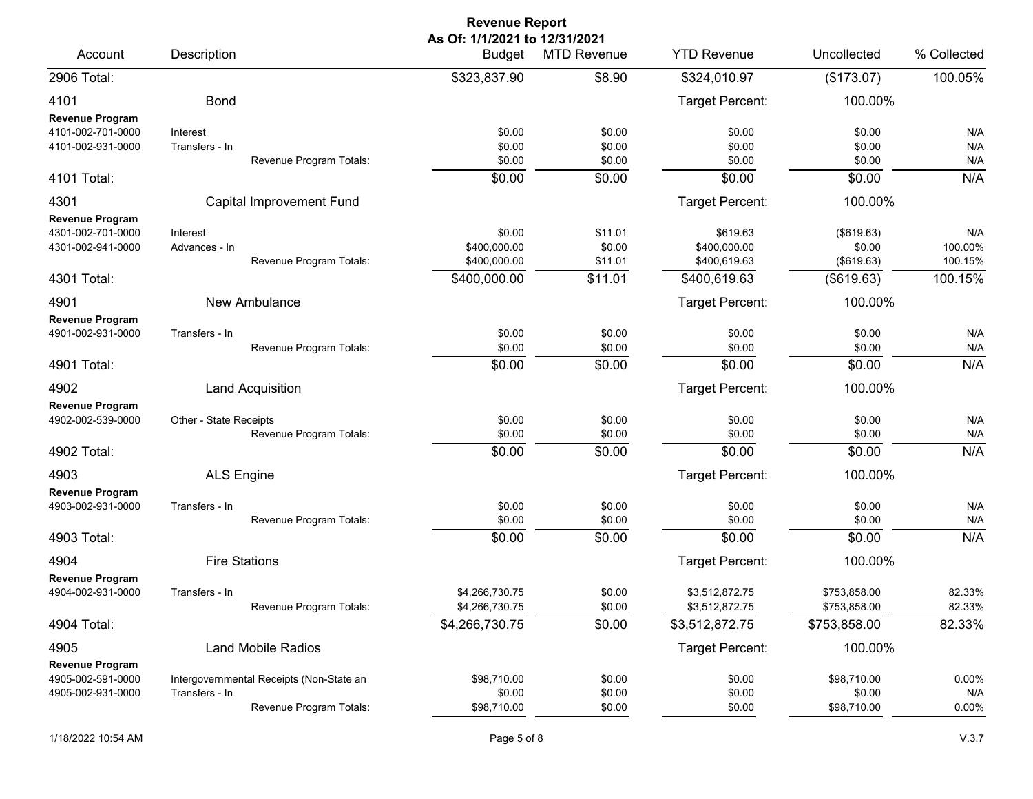| As Of: 1/1/2021 to 12/31/2021<br><b>YTD Revenue</b><br>Description<br><b>Budget</b><br><b>MTD Revenue</b><br>Account                                                                                                                                                                                     | Uncollected<br>(\$173.07)                        | % Collected<br>100.05%               |
|----------------------------------------------------------------------------------------------------------------------------------------------------------------------------------------------------------------------------------------------------------------------------------------------------------|--------------------------------------------------|--------------------------------------|
|                                                                                                                                                                                                                                                                                                          |                                                  |                                      |
| 2906 Total:<br>\$323,837.90<br>\$8.90<br>\$324,010.97                                                                                                                                                                                                                                                    |                                                  |                                      |
| <b>Bond</b><br>Target Percent:<br>4101<br><b>Revenue Program</b>                                                                                                                                                                                                                                         | 100.00%                                          |                                      |
| \$0.00<br>4101-002-701-0000<br>\$0.00<br>\$0.00<br>Interest<br>\$0.00<br>\$0.00<br>\$0.00<br>4101-002-931-0000<br>Transfers - In<br>\$0.00<br>Revenue Program Totals:<br>\$0.00<br>\$0.00                                                                                                                | \$0.00<br>\$0.00<br>\$0.00                       | N/A<br>N/A<br>N/A                    |
| \$0.00<br>\$0.00<br>\$0.00<br>4101 Total:                                                                                                                                                                                                                                                                | \$0.00                                           | N/A                                  |
| Target Percent:<br>4301<br>Capital Improvement Fund                                                                                                                                                                                                                                                      | 100.00%                                          |                                      |
| <b>Revenue Program</b><br>4301-002-701-0000<br>\$0.00<br>\$11.01<br>\$619.63<br>Interest<br>4301-002-941-0000<br>\$400,000.00<br>\$0.00<br>\$400,000.00<br>Advances - In<br>\$400,000.00<br>Revenue Program Totals:<br>\$400,619.63<br>\$11.01<br>\$11.01<br>\$400,000.00<br>\$400,619.63<br>4301 Total: | (\$619.63)<br>\$0.00<br>(\$619.63)<br>(\$619.63) | N/A<br>100.00%<br>100.15%<br>100.15% |
| 4901<br>New Ambulance<br>Target Percent:                                                                                                                                                                                                                                                                 | 100.00%                                          |                                      |
| <b>Revenue Program</b><br>4901-002-931-0000<br>\$0.00<br>\$0.00<br>Transfers - In<br>\$0.00<br>Revenue Program Totals:<br>\$0.00<br>\$0.00<br>\$0.00                                                                                                                                                     | \$0.00<br>\$0.00                                 | N/A<br>N/A                           |
| \$0.00<br>\$0.00<br>\$0.00<br>4901 Total:                                                                                                                                                                                                                                                                | \$0.00                                           | N/A                                  |
| Target Percent:<br>4902<br>Land Acquisition                                                                                                                                                                                                                                                              | 100.00%                                          |                                      |
| <b>Revenue Program</b><br>4902-002-539-0000<br>Other - State Receipts<br>\$0.00<br>\$0.00<br>\$0.00<br>\$0.00<br>\$0.00<br>Revenue Program Totals:<br>\$0.00<br>\$0.00<br>\$0.00<br>\$0.00<br>4902 Total:                                                                                                | \$0.00<br>\$0.00<br>\$0.00                       | N/A<br>N/A<br>N/A                    |
| Target Percent:<br>4903<br><b>ALS Engine</b>                                                                                                                                                                                                                                                             | 100.00%                                          |                                      |
| <b>Revenue Program</b><br>4903-002-931-0000<br>Transfers - In<br>\$0.00<br>\$0.00<br>\$0.00<br>Revenue Program Totals:<br>\$0.00<br>\$0.00<br>\$0.00                                                                                                                                                     | \$0.00<br>\$0.00                                 | N/A<br>N/A                           |
| \$0.00<br>\$0.00<br>4903 Total:<br>\$0.00                                                                                                                                                                                                                                                                | \$0.00                                           | N/A                                  |
| <b>Fire Stations</b><br>Target Percent:<br>4904<br>Revenue Program                                                                                                                                                                                                                                       | 100.00%                                          |                                      |
| 4904-002-931-0000<br>\$4,266,730.75<br>\$0.00<br>\$3,512,872.75<br>Transfers - In<br>Revenue Program Totals:<br>\$4,266,730.75<br>\$0.00<br>\$3,512,872.75                                                                                                                                               | \$753,858.00<br>\$753,858.00                     | 82.33%<br>82.33%                     |
| \$0.00<br>\$4,266,730.75<br>\$3,512,872.75<br>4904 Total:                                                                                                                                                                                                                                                | \$753,858.00                                     | 82.33%                               |
| <b>Target Percent:</b><br>4905<br><b>Land Mobile Radios</b><br><b>Revenue Program</b>                                                                                                                                                                                                                    | 100.00%                                          |                                      |
| 4905-002-591-0000<br>Intergovernmental Receipts (Non-State an<br>\$98,710.00<br>\$0.00<br>\$0.00<br>4905-002-931-0000<br>Transfers - In<br>\$0.00<br>\$0.00<br>\$0.00<br>Revenue Program Totals:<br>\$0.00<br>\$98,710.00<br>\$0.00                                                                      | \$98,710.00<br>\$0.00<br>\$98,710.00             | $0.00\%$<br>N/A<br>0.00%             |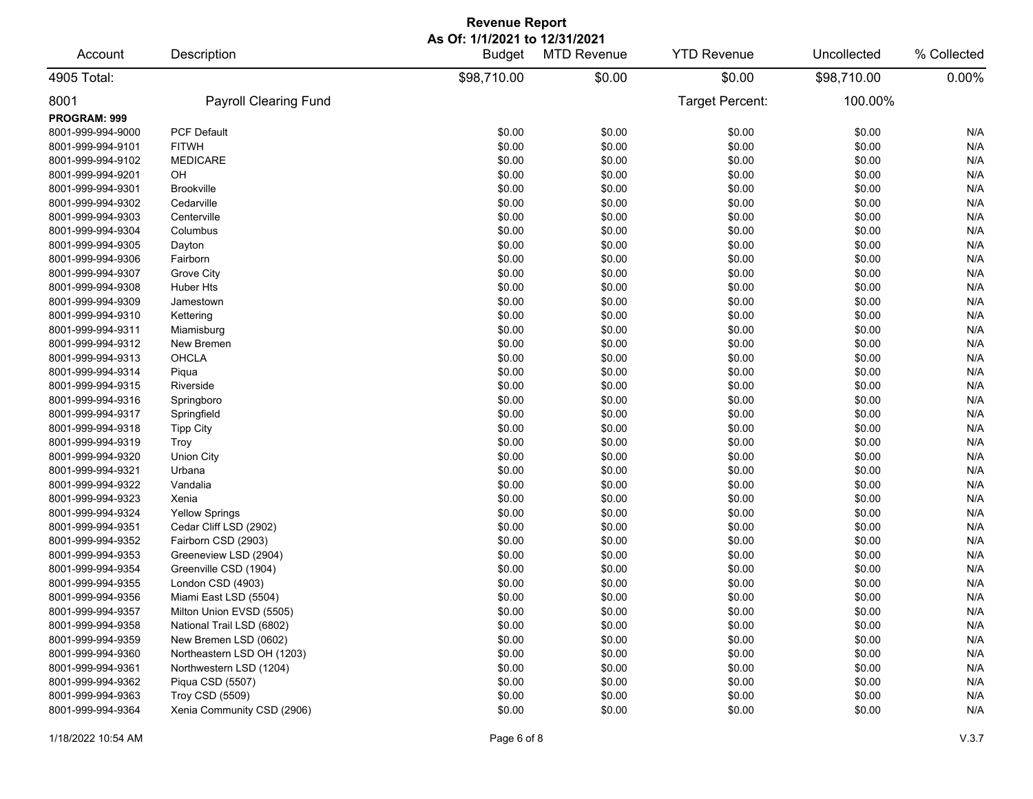| <b>Revenue Report</b> |                              |                                         |                    |                    |             |             |  |
|-----------------------|------------------------------|-----------------------------------------|--------------------|--------------------|-------------|-------------|--|
| Account               | Description                  | As Of: 1/1/2021 to 12/31/2021<br>Budget | <b>MTD Revenue</b> | <b>YTD Revenue</b> | Uncollected | % Collected |  |
| 4905 Total:           |                              | \$98,710.00                             | \$0.00             | \$0.00             | \$98,710.00 | 0.00%       |  |
| 8001                  | <b>Payroll Clearing Fund</b> |                                         |                    | Target Percent:    | 100.00%     |             |  |
| PROGRAM: 999          |                              |                                         |                    |                    |             |             |  |
| 8001-999-994-9000     | <b>PCF Default</b>           | \$0.00                                  | \$0.00             | \$0.00             | \$0.00      | N/A         |  |
| 8001-999-994-9101     | <b>FITWH</b>                 | \$0.00                                  | \$0.00             | \$0.00             | \$0.00      | N/A         |  |
| 8001-999-994-9102     | <b>MEDICARE</b>              | \$0.00                                  | \$0.00             | \$0.00             | \$0.00      | N/A         |  |
| 8001-999-994-9201     | OH                           | \$0.00                                  | \$0.00             | \$0.00             | \$0.00      | N/A         |  |
| 8001-999-994-9301     | <b>Brookville</b>            | \$0.00                                  | \$0.00             | \$0.00             | \$0.00      | N/A         |  |
| 8001-999-994-9302     | Cedarville                   | \$0.00                                  | \$0.00             | \$0.00             | \$0.00      | N/A         |  |
| 8001-999-994-9303     | Centerville                  | \$0.00                                  | \$0.00             | \$0.00             | \$0.00      | N/A         |  |
| 8001-999-994-9304     | Columbus                     | \$0.00                                  | \$0.00             | \$0.00             | \$0.00      | N/A         |  |
| 8001-999-994-9305     | Dayton                       | \$0.00                                  | \$0.00             | \$0.00             | \$0.00      | N/A         |  |
| 8001-999-994-9306     | Fairborn                     | \$0.00                                  | \$0.00             | \$0.00             | \$0.00      | N/A         |  |
| 8001-999-994-9307     | Grove City                   | \$0.00                                  | \$0.00             | \$0.00             | \$0.00      | N/A         |  |
| 8001-999-994-9308     | Huber Hts                    | \$0.00                                  | \$0.00             | \$0.00             | \$0.00      | N/A         |  |
| 8001-999-994-9309     | Jamestown                    | \$0.00                                  | \$0.00             | \$0.00             | \$0.00      | N/A         |  |
| 8001-999-994-9310     | Kettering                    | \$0.00                                  | \$0.00             | \$0.00             | \$0.00      | N/A         |  |
| 8001-999-994-9311     | Miamisburg                   | \$0.00                                  | \$0.00             | \$0.00             | \$0.00      | N/A         |  |
| 8001-999-994-9312     | New Bremen                   | \$0.00                                  | \$0.00             | \$0.00             | \$0.00      | N/A         |  |
| 8001-999-994-9313     | <b>OHCLA</b>                 | \$0.00                                  | \$0.00             | \$0.00             | \$0.00      | N/A         |  |
| 8001-999-994-9314     | Piqua                        | \$0.00                                  | \$0.00             | \$0.00             | \$0.00      | N/A         |  |
| 8001-999-994-9315     | Riverside                    | \$0.00                                  | \$0.00             | \$0.00             | \$0.00      | N/A         |  |
| 8001-999-994-9316     | Springboro                   | \$0.00                                  | \$0.00             | \$0.00             | \$0.00      | N/A         |  |
| 8001-999-994-9317     | Springfield                  | \$0.00                                  | \$0.00             | \$0.00             | \$0.00      | N/A         |  |
| 8001-999-994-9318     | <b>Tipp City</b>             | \$0.00                                  | \$0.00             | \$0.00             | \$0.00      | N/A         |  |
| 8001-999-994-9319     | Troy                         | \$0.00                                  | \$0.00             | \$0.00             | \$0.00      | N/A         |  |
| 8001-999-994-9320     | <b>Union City</b>            | \$0.00                                  | \$0.00             | \$0.00             | \$0.00      | N/A         |  |
| 8001-999-994-9321     | Urbana                       | \$0.00                                  | \$0.00             | \$0.00             | \$0.00      | N/A         |  |
| 8001-999-994-9322     | Vandalia                     | \$0.00                                  | \$0.00             | \$0.00             | \$0.00      | N/A         |  |
| 8001-999-994-9323     | Xenia                        | \$0.00                                  | \$0.00             | \$0.00             | \$0.00      | N/A         |  |
| 8001-999-994-9324     | <b>Yellow Springs</b>        | \$0.00                                  | \$0.00             | \$0.00             | \$0.00      | N/A         |  |
| 8001-999-994-9351     | Cedar Cliff LSD (2902)       | \$0.00                                  | \$0.00             | \$0.00             | \$0.00      | N/A         |  |
| 8001-999-994-9352     | Fairborn CSD (2903)          | \$0.00                                  | \$0.00             | \$0.00             | \$0.00      | N/A         |  |
| 8001-999-994-9353     | Greeneview LSD (2904)        | \$0.00                                  | \$0.00             | \$0.00             | \$0.00      | N/A         |  |
| 8001-999-994-9354     | Greenville CSD (1904)        | \$0.00                                  | \$0.00             | \$0.00             | \$0.00      | N/A         |  |
| 8001-999-994-9355     | London CSD (4903)            | \$0.00                                  | \$0.00             | \$0.00             | \$0.00      | N/A         |  |
| 8001-999-994-9356     | Miami East LSD (5504)        | \$0.00                                  | \$0.00             | \$0.00             | \$0.00      | N/A         |  |
| 8001-999-994-9357     | Milton Union EVSD (5505)     | \$0.00                                  | \$0.00             | \$0.00             | \$0.00      | N/A         |  |
| 8001-999-994-9358     | National Trail LSD (6802)    | \$0.00                                  | \$0.00             | \$0.00             | \$0.00      | N/A         |  |
| 8001-999-994-9359     | New Bremen LSD (0602)        | \$0.00                                  | \$0.00             | \$0.00             | \$0.00      | N/A         |  |
| 8001-999-994-9360     | Northeastern LSD OH (1203)   | \$0.00                                  | \$0.00             | \$0.00             | \$0.00      | N/A         |  |
| 8001-999-994-9361     | Northwestern LSD (1204)      | \$0.00                                  | \$0.00             | \$0.00             | \$0.00      | N/A         |  |
| 8001-999-994-9362     | Piqua CSD (5507)             | \$0.00                                  | \$0.00             | \$0.00             | \$0.00      | N/A         |  |
| 8001-999-994-9363     | Troy CSD (5509)              | \$0.00                                  | \$0.00             | \$0.00             | \$0.00      | N/A         |  |
| 8001-999-994-9364     | Xenia Community CSD (2906)   | \$0.00                                  | \$0.00             | \$0.00             | \$0.00      | N/A         |  |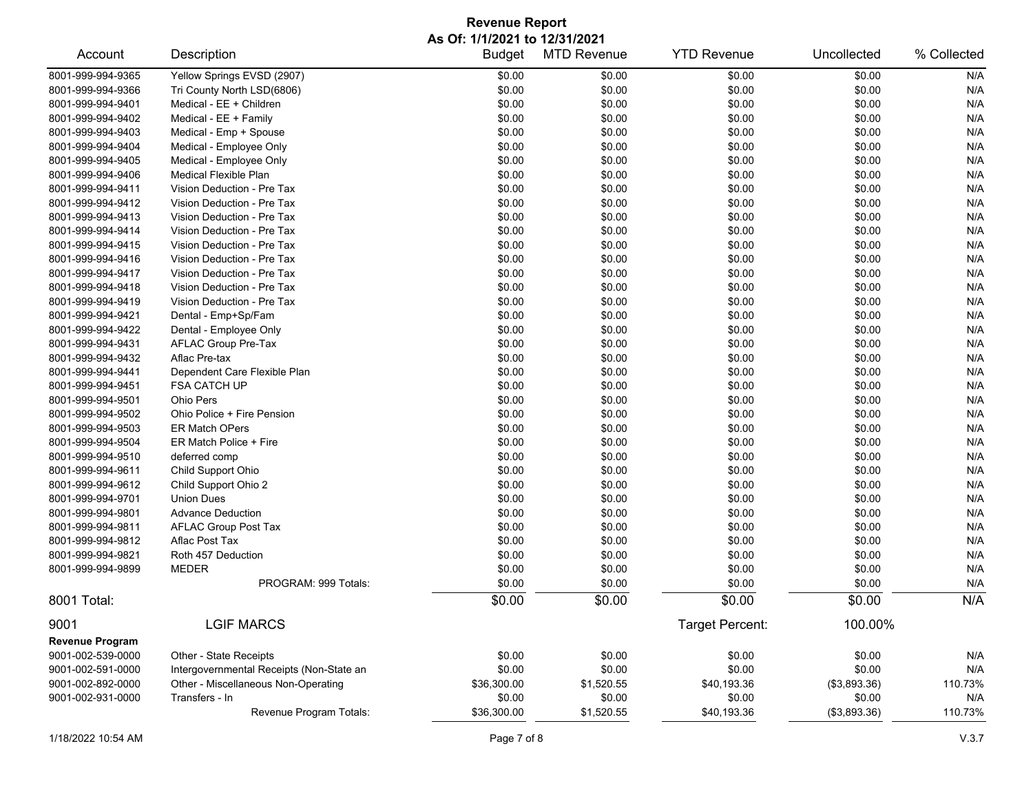## **Revenue Report As Of: 1/1/2021 to 12/31/2021**

| Account                | Description                              | <b>Budget</b> | <b>MTD Revenue</b> | <b>YTD Revenue</b>     | Uncollected  | % Collected |
|------------------------|------------------------------------------|---------------|--------------------|------------------------|--------------|-------------|
| 8001-999-994-9365      | Yellow Springs EVSD (2907)               | \$0.00        | \$0.00             | \$0.00                 | \$0.00       | N/A         |
| 8001-999-994-9366      | Tri County North LSD(6806)               | \$0.00        | \$0.00             | \$0.00                 | \$0.00       | N/A         |
| 8001-999-994-9401      | Medical - EE + Children                  | \$0.00        | \$0.00             | \$0.00                 | \$0.00       | N/A         |
| 8001-999-994-9402      | Medical - EE + Family                    | \$0.00        | \$0.00             | \$0.00                 | \$0.00       | N/A         |
| 8001-999-994-9403      | Medical - Emp + Spouse                   | \$0.00        | \$0.00             | \$0.00                 | \$0.00       | N/A         |
| 8001-999-994-9404      | Medical - Employee Only                  | \$0.00        | \$0.00             | \$0.00                 | \$0.00       | N/A         |
| 8001-999-994-9405      | Medical - Employee Only                  | \$0.00        | \$0.00             | \$0.00                 | \$0.00       | N/A         |
| 8001-999-994-9406      | <b>Medical Flexible Plan</b>             | \$0.00        | \$0.00             | \$0.00                 | \$0.00       | N/A         |
| 8001-999-994-9411      | Vision Deduction - Pre Tax               | \$0.00        | \$0.00             | \$0.00                 | \$0.00       | N/A         |
| 8001-999-994-9412      | Vision Deduction - Pre Tax               | \$0.00        | \$0.00             | \$0.00                 | \$0.00       | N/A         |
| 8001-999-994-9413      | Vision Deduction - Pre Tax               | \$0.00        | \$0.00             | \$0.00                 | \$0.00       | N/A         |
| 8001-999-994-9414      | Vision Deduction - Pre Tax               | \$0.00        | \$0.00             | \$0.00                 | \$0.00       | N/A         |
| 8001-999-994-9415      | Vision Deduction - Pre Tax               | \$0.00        | \$0.00             | \$0.00                 | \$0.00       | N/A         |
| 8001-999-994-9416      | Vision Deduction - Pre Tax               | \$0.00        | \$0.00             | \$0.00                 | \$0.00       | N/A         |
| 8001-999-994-9417      | Vision Deduction - Pre Tax               | \$0.00        | \$0.00             | \$0.00                 | \$0.00       | N/A         |
| 8001-999-994-9418      | Vision Deduction - Pre Tax               | \$0.00        | \$0.00             | \$0.00                 | \$0.00       | N/A         |
| 8001-999-994-9419      | Vision Deduction - Pre Tax               | \$0.00        | \$0.00             | \$0.00                 | \$0.00       | N/A         |
| 8001-999-994-9421      | Dental - Emp+Sp/Fam                      | \$0.00        | \$0.00             | \$0.00                 | \$0.00       | N/A         |
| 8001-999-994-9422      | Dental - Employee Only                   | \$0.00        | \$0.00             | \$0.00                 | \$0.00       | N/A         |
| 8001-999-994-9431      | AFLAC Group Pre-Tax                      | \$0.00        | \$0.00             | \$0.00                 | \$0.00       | N/A         |
| 8001-999-994-9432      | Aflac Pre-tax                            | \$0.00        | \$0.00             | \$0.00                 | \$0.00       | N/A         |
| 8001-999-994-9441      | Dependent Care Flexible Plan             | \$0.00        | \$0.00             | \$0.00                 | \$0.00       | N/A         |
| 8001-999-994-9451      | <b>FSA CATCH UP</b>                      | \$0.00        | \$0.00             | \$0.00                 | \$0.00       | N/A         |
| 8001-999-994-9501      | Ohio Pers                                | \$0.00        | \$0.00             | \$0.00                 | \$0.00       | N/A         |
| 8001-999-994-9502      | Ohio Police + Fire Pension               | \$0.00        | \$0.00             | \$0.00                 | \$0.00       | N/A         |
| 8001-999-994-9503      | <b>ER Match OPers</b>                    | \$0.00        | \$0.00             | \$0.00                 | \$0.00       | N/A         |
| 8001-999-994-9504      | ER Match Police + Fire                   | \$0.00        | \$0.00             | \$0.00                 | \$0.00       | N/A         |
| 8001-999-994-9510      | deferred comp                            | \$0.00        | \$0.00             | \$0.00                 | \$0.00       | N/A         |
| 8001-999-994-9611      | Child Support Ohio                       | \$0.00        | \$0.00             | \$0.00                 | \$0.00       | N/A         |
| 8001-999-994-9612      | Child Support Ohio 2                     | \$0.00        | \$0.00             | \$0.00                 | \$0.00       | N/A         |
| 8001-999-994-9701      | <b>Union Dues</b>                        | \$0.00        | \$0.00             | \$0.00                 | \$0.00       | N/A         |
| 8001-999-994-9801      | <b>Advance Deduction</b>                 | \$0.00        | \$0.00             | \$0.00                 | \$0.00       | N/A         |
| 8001-999-994-9811      | <b>AFLAC Group Post Tax</b>              | \$0.00        | \$0.00             | \$0.00                 | \$0.00       | N/A         |
| 8001-999-994-9812      | Aflac Post Tax                           | \$0.00        | \$0.00             | \$0.00                 | \$0.00       | N/A         |
| 8001-999-994-9821      | Roth 457 Deduction                       | \$0.00        | \$0.00             | \$0.00                 | \$0.00       | N/A         |
| 8001-999-994-9899      | <b>MEDER</b>                             | \$0.00        | \$0.00             | \$0.00                 | \$0.00       | N/A         |
|                        | PROGRAM: 999 Totals:                     | \$0.00        | \$0.00             | \$0.00                 | \$0.00       | N/A         |
| 8001 Total:            |                                          | \$0.00        | \$0.00             | \$0.00                 | \$0.00       | N/A         |
| 9001                   | <b>LGIF MARCS</b>                        |               |                    | <b>Target Percent:</b> | 100.00%      |             |
| <b>Revenue Program</b> |                                          |               |                    |                        |              |             |
| 9001-002-539-0000      | Other - State Receipts                   | \$0.00        | \$0.00             | \$0.00                 | \$0.00       | N/A         |
| 9001-002-591-0000      | Intergovernmental Receipts (Non-State an | \$0.00        | \$0.00             | \$0.00                 | \$0.00       | N/A         |
| 9001-002-892-0000      | Other - Miscellaneous Non-Operating      | \$36,300.00   | \$1,520.55         | \$40,193.36            | (\$3,893.36) | 110.73%     |
| 9001-002-931-0000      | Transfers - In                           | \$0.00        | \$0.00             | \$0.00                 | \$0.00       | N/A         |
|                        | Revenue Program Totals:                  | \$36,300.00   | \$1,520.55         | \$40,193.36            | (\$3,893.36) | 110.73%     |
|                        |                                          |               |                    |                        |              |             |